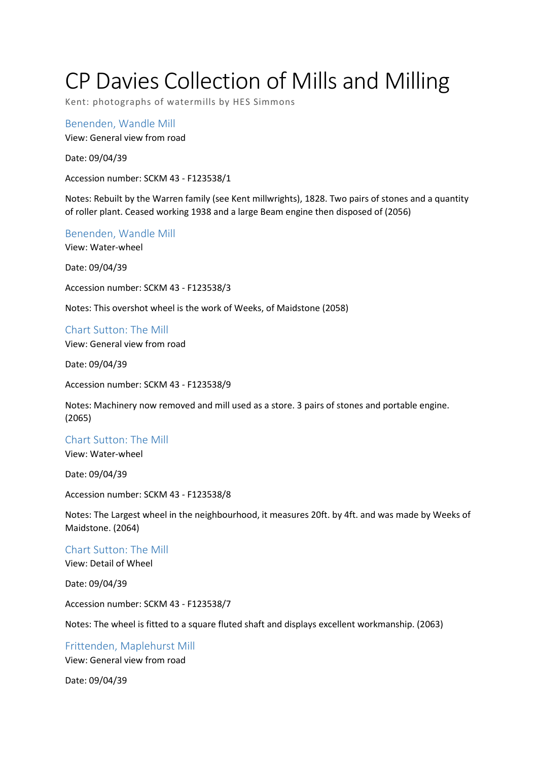# CP Davies Collection of Mills and Milling

Kent: photographs of watermills by HES Simmons

Benenden, Wandle Mill View: General view from road

Date: 09/04/39

Accession number: SCKM 43 - F123538/1

Notes: Rebuilt by the Warren family (see Kent millwrights), 1828. Two pairs of stones and a quantity of roller plant. Ceased working 1938 and a large Beam engine then disposed of (2056)

Benenden, Wandle Mill

View: Water-wheel

Date: 09/04/39

Accession number: SCKM 43 - F123538/3

Notes: This overshot wheel is the work of Weeks, of Maidstone (2058)

Chart Sutton: The Mill View: General view from road

Date: 09/04/39

Accession number: SCKM 43 - F123538/9

Notes: Machinery now removed and mill used as a store. 3 pairs of stones and portable engine. (2065)

Chart Sutton: The Mill

View: Water-wheel

Date: 09/04/39

Accession number: SCKM 43 - F123538/8

Notes: The Largest wheel in the neighbourhood, it measures 20ft. by 4ft. and was made by Weeks of Maidstone. (2064)

Chart Sutton: The Mill

View: Detail of Wheel

Date: 09/04/39

Accession number: SCKM 43 - F123538/7

Notes: The wheel is fitted to a square fluted shaft and displays excellent workmanship. (2063)

Frittenden, Maplehurst Mill View: General view from road

Date: 09/04/39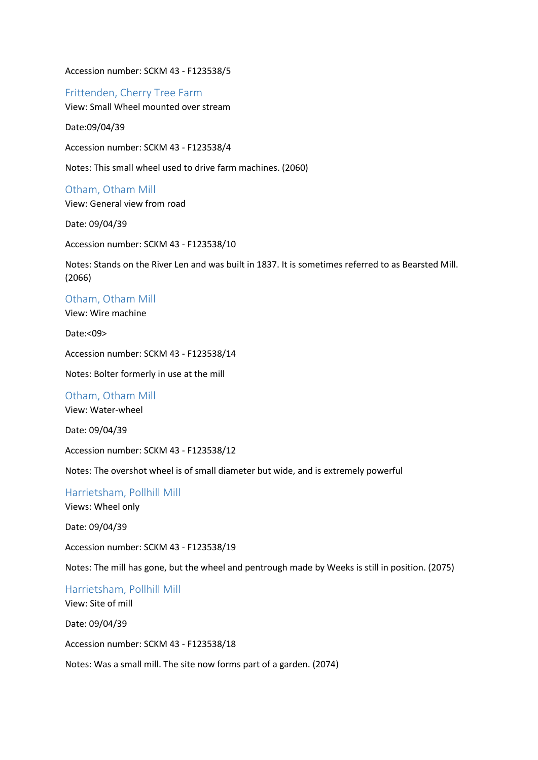Accession number: SCKM 43 - F123538/5

Frittenden, Cherry Tree Farm View: Small Wheel mounted over stream

Date:09/04/39

Accession number: SCKM 43 - F123538/4

Notes: This small wheel used to drive farm machines. (2060)

Otham, Otham Mill View: General view from road

Date: 09/04/39

Accession number: SCKM 43 - F123538/10

Notes: Stands on the River Len and was built in 1837. It is sometimes referred to as Bearsted Mill. (2066)

Otham, Otham Mill

View: Wire machine

Date:<09>

Accession number: SCKM 43 - F123538/14

Notes: Bolter formerly in use at the mill

Otham, Otham Mill

View: Water-wheel

Date: 09/04/39

Accession number: SCKM 43 - F123538/12

Notes: The overshot wheel is of small diameter but wide, and is extremely powerful

Harrietsham, Pollhill Mill Views: Wheel only

Date: 09/04/39

Accession number: SCKM 43 - F123538/19

Notes: The mill has gone, but the wheel and pentrough made by Weeks is still in position. (2075)

Harrietsham, Pollhill Mill View: Site of mill Date: 09/04/39 Accession number: SCKM 43 - F123538/18

Notes: Was a small mill. The site now forms part of a garden. (2074)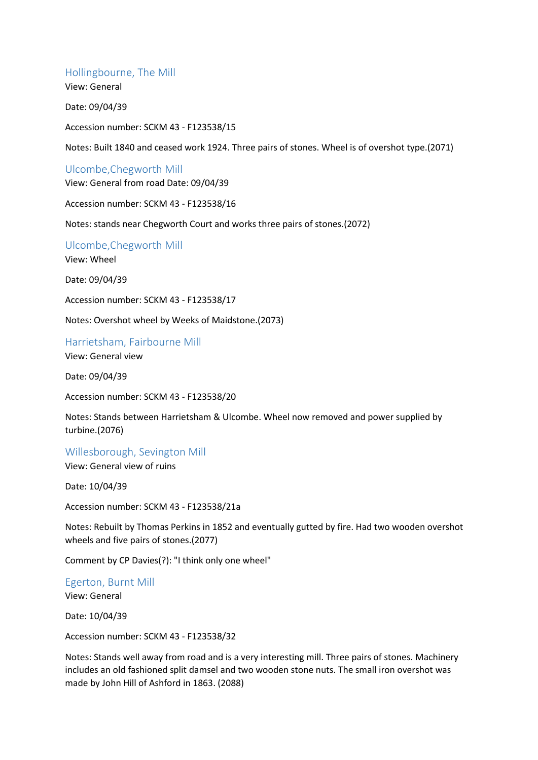#### Hollingbourne, The Mill

View: General

Date: 09/04/39

Accession number: SCKM 43 - F123538/15

Notes: Built 1840 and ceased work 1924. Three pairs of stones. Wheel is of overshot type.(2071)

## Ulcombe,Chegworth Mill

View: General from road Date: 09/04/39

Accession number: SCKM 43 - F123538/16

Notes: stands near Chegworth Court and works three pairs of stones.(2072)

Ulcombe,Chegworth Mill View: Wheel

Date: 09/04/39

Accession number: SCKM 43 - F123538/17

Notes: Overshot wheel by Weeks of Maidstone.(2073)

#### Harrietsham, Fairbourne Mill

View: General view

Date: 09/04/39

Accession number: SCKM 43 - F123538/20

Notes: Stands between Harrietsham & Ulcombe. Wheel now removed and power supplied by turbine.(2076)

Willesborough, Sevington Mill

View: General view of ruins

Date: 10/04/39

Accession number: SCKM 43 - F123538/21a

Notes: Rebuilt by Thomas Perkins in 1852 and eventually gutted by fire. Had two wooden overshot wheels and five pairs of stones.(2077)

Comment by CP Davies(?): "I think only one wheel"

Egerton, Burnt Mill View: General

Date: 10/04/39

Accession number: SCKM 43 - F123538/32

Notes: Stands well away from road and is a very interesting mill. Three pairs of stones. Machinery includes an old fashioned split damsel and two wooden stone nuts. The small iron overshot was made by John Hill of Ashford in 1863. (2088)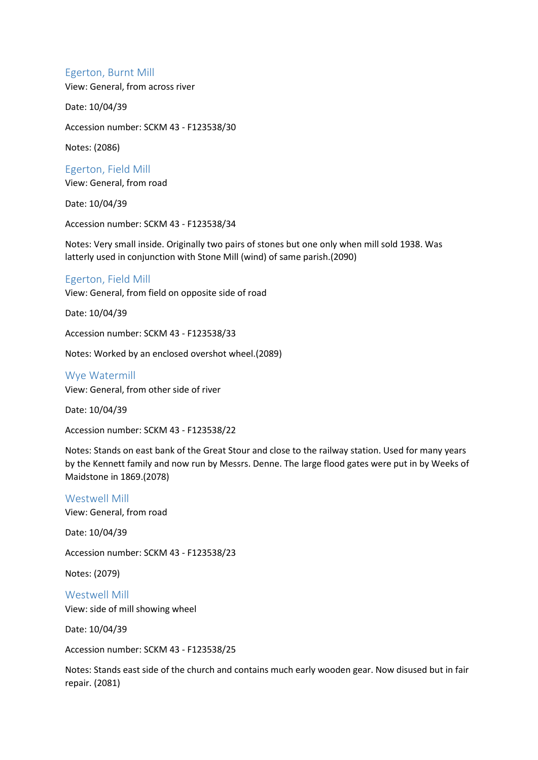### Egerton, Burnt Mill

View: General, from across river

Date: 10/04/39

Accession number: SCKM 43 - F123538/30

Notes: (2086)

Egerton, Field Mill View: General, from road

Date: 10/04/39

Accession number: SCKM 43 - F123538/34

Notes: Very small inside. Originally two pairs of stones but one only when mill sold 1938. Was latterly used in conjunction with Stone Mill (wind) of same parish.(2090)

# Egerton, Field Mill

View: General, from field on opposite side of road

Date: 10/04/39

Accession number: SCKM 43 - F123538/33

Notes: Worked by an enclosed overshot wheel.(2089)

Wye Watermill View: General, from other side of river

Date: 10/04/39

Accession number: SCKM 43 - F123538/22

Notes: Stands on east bank of the Great Stour and close to the railway station. Used for many years by the Kennett family and now run by Messrs. Denne. The large flood gates were put in by Weeks of Maidstone in 1869.(2078)

#### Westwell Mill

View: General, from road

Date: 10/04/39

Accession number: SCKM 43 - F123538/23

Notes: (2079)

Westwell Mill View: side of mill showing wheel

Date: 10/04/39

Accession number: SCKM 43 - F123538/25

Notes: Stands east side of the church and contains much early wooden gear. Now disused but in fair repair. (2081)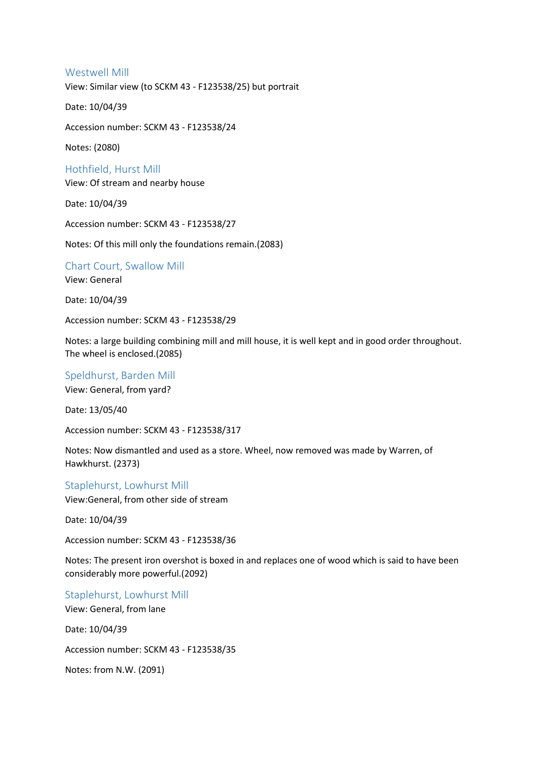#### Westwell Mill

View: Similar view (to SCKM 43 - F123538/25) but portrait

Date: 10/04/39

Accession number: SCKM 43 - F123538/24

Notes: (2080)

Hothfield, Hurst Mill View: Of stream and nearby house

Date: 10/04/39

Accession number: SCKM 43 - F123538/27

Notes: Of this mill only the foundations remain.(2083)

Chart Court, Swallow Mill

View: General

Date: 10/04/39

Accession number: SCKM 43 - F123538/29

Notes: a large building combining mill and mill house, it is well kept and in good order throughout. The wheel is enclosed.(2085)

Speldhurst, Barden Mill View: General, from yard?

Date: 13/05/40

Accession number: SCKM 43 - F123538/317

Notes: Now dismantled and used as a store. Wheel, now removed was made by Warren, of Hawkhurst. (2373)

Staplehurst, Lowhurst Mill

View:General, from other side of stream

Date: 10/04/39

Accession number: SCKM 43 - F123538/36

Notes: The present iron overshot is boxed in and replaces one of wood which is said to have been considerably more powerful.(2092)

Staplehurst, Lowhurst Mill View: General, from lane Date: 10/04/39 Accession number: SCKM 43 - F123538/35

Notes: from N.W. (2091)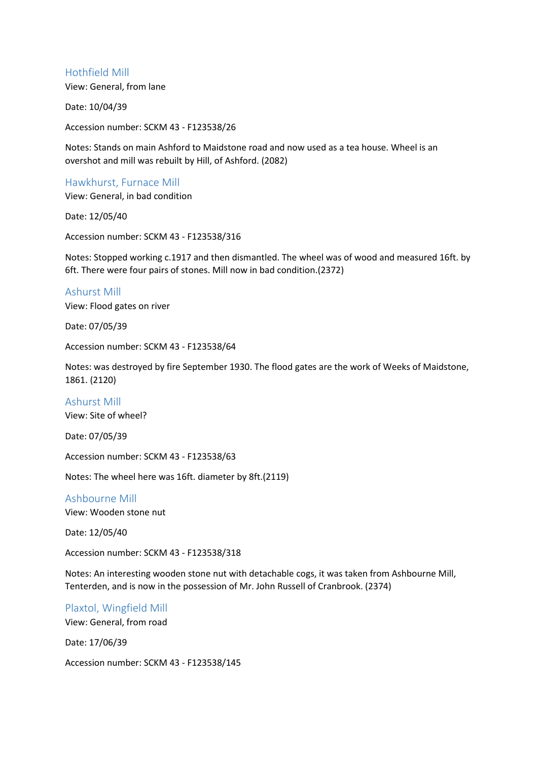### Hothfield Mill

View: General, from lane

Date: 10/04/39

Accession number: SCKM 43 - F123538/26

Notes: Stands on main Ashford to Maidstone road and now used as a tea house. Wheel is an overshot and mill was rebuilt by Hill, of Ashford. (2082)

## Hawkhurst, Furnace Mill

View: General, in bad condition

Date: 12/05/40

Accession number: SCKM 43 - F123538/316

Notes: Stopped working c.1917 and then dismantled. The wheel was of wood and measured 16ft. by 6ft. There were four pairs of stones. Mill now in bad condition.(2372)

Ashurst Mill View: Flood gates on river

Date: 07/05/39

Accession number: SCKM 43 - F123538/64

Notes: was destroyed by fire September 1930. The flood gates are the work of Weeks of Maidstone, 1861. (2120)

Ashurst Mill View: Site of wheel?

Date: 07/05/39

Accession number: SCKM 43 - F123538/63

Notes: The wheel here was 16ft. diameter by 8ft.(2119)

# Ashbourne Mill

View: Wooden stone nut

Date: 12/05/40

Accession number: SCKM 43 - F123538/318

Notes: An interesting wooden stone nut with detachable cogs, it was taken from Ashbourne Mill, Tenterden, and is now in the possession of Mr. John Russell of Cranbrook. (2374)

# Plaxtol, Wingfield Mill

View: General, from road

Date: 17/06/39

Accession number: SCKM 43 - F123538/145